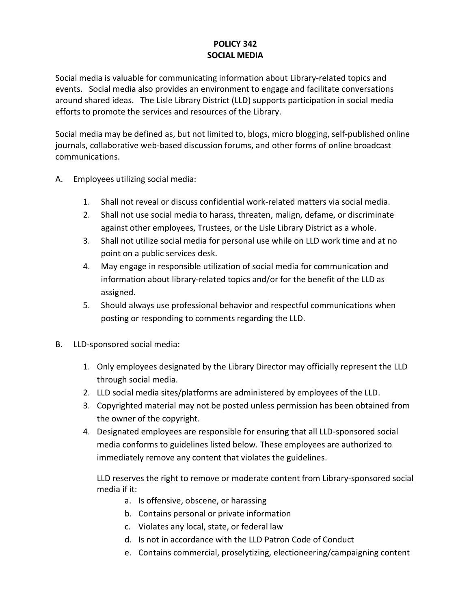## **POLICY 342 SOCIAL MEDIA**

Social media is valuable for communicating information about Library-related topics and events. Social media also provides an environment to engage and facilitate conversations around shared ideas. The Lisle Library District (LLD) supports participation in social media efforts to promote the services and resources of the Library.

Social media may be defined as, but not limited to, blogs, micro blogging, self-published online journals, collaborative web-based discussion forums, and other forms of online broadcast communications.

- A. Employees utilizing social media:
	- 1. Shall not reveal or discuss confidential work-related matters via social media.
	- 2. Shall not use social media to harass, threaten, malign, defame, or discriminate against other employees, Trustees, or the Lisle Library District as a whole.
	- 3. Shall not utilize social media for personal use while on LLD work time and at no point on a public services desk.
	- 4. May engage in responsible utilization of social media for communication and information about library-related topics and/or for the benefit of the LLD as assigned.
	- 5. Should always use professional behavior and respectful communications when posting or responding to comments regarding the LLD.
- B. LLD-sponsored social media:
	- 1. Only employees designated by the Library Director may officially represent the LLD through social media.
	- 2. LLD social media sites/platforms are administered by employees of the LLD.
	- 3. Copyrighted material may not be posted unless permission has been obtained from the owner of the copyright.
	- 4. Designated employees are responsible for ensuring that all LLD-sponsored social media conforms to guidelines listed below. These employees are authorized to immediately remove any content that violates the guidelines.

LLD reserves the right to remove or moderate content from Library-sponsored social media if it:

- a. Is offensive, obscene, or harassing
- b. Contains personal or private information
- c. Violates any local, state, or federal law
- d. Is not in accordance with the LLD Patron Code of Conduct
- e. Contains commercial, proselytizing, electioneering/campaigning content